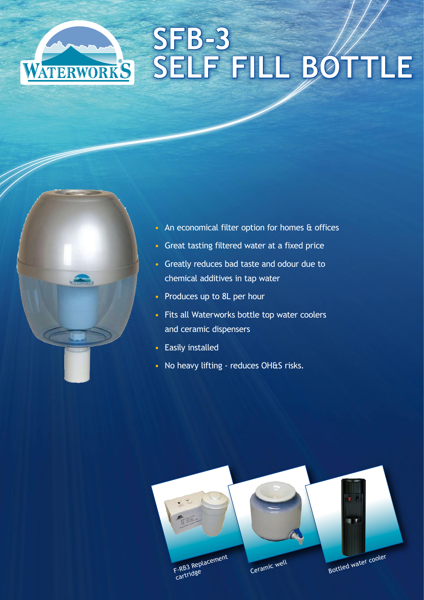# **SFB-3 SELF FILL BOTTLE**



- An economical filter option for homes & offices
- Great tasting filtered water at a fixed price
- Greatly reduces bad taste and odour due to chemical additives in tap water
- Produces up to 8L per hour
- Fits all Waterworks bottle top water coolers and ceramic dispensers
- Easily installed
- No heavy lifting reduces OH&S risks.